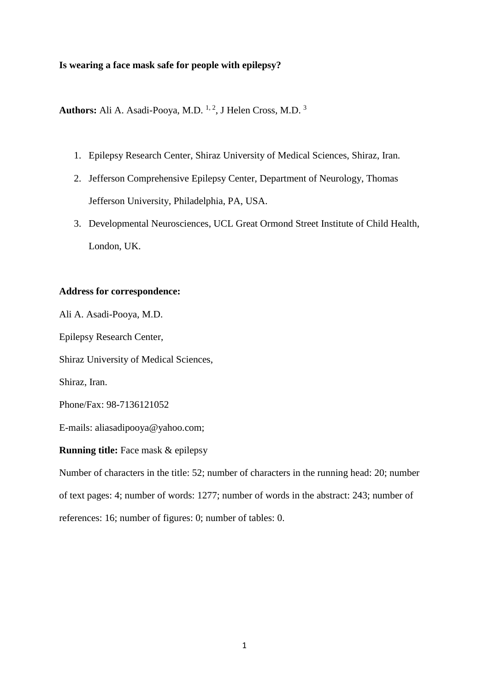### **Is wearing a face mask safe for people with epilepsy?**

Authors: Ali A. Asadi-Pooya, M.D. <sup>1, 2</sup>, J Helen Cross, M.D. <sup>3</sup>

- 1. Epilepsy Research Center, Shiraz University of Medical Sciences, Shiraz, Iran.
- 2. Jefferson Comprehensive Epilepsy Center, Department of Neurology, Thomas Jefferson University, Philadelphia, PA, USA.
- 3. Developmental Neurosciences, UCL Great Ormond Street Institute of Child Health, London, UK.

## **Address for correspondence:**

Ali A. Asadi-Pooya, M.D.

Epilepsy Research Center,

Shiraz University of Medical Sciences,

Shiraz, Iran.

Phone/Fax: 98-7136121052

E-mails: [aliasadipooya@yahoo.com;](mailto:aliasadipooya@yahoo.com)

## **Running title:** Face mask & epilepsy

Number of characters in the title: 52; number of characters in the running head: 20; number of text pages: 4; number of words: 1277; number of words in the abstract: 243; number of references: 16; number of figures: 0; number of tables: 0.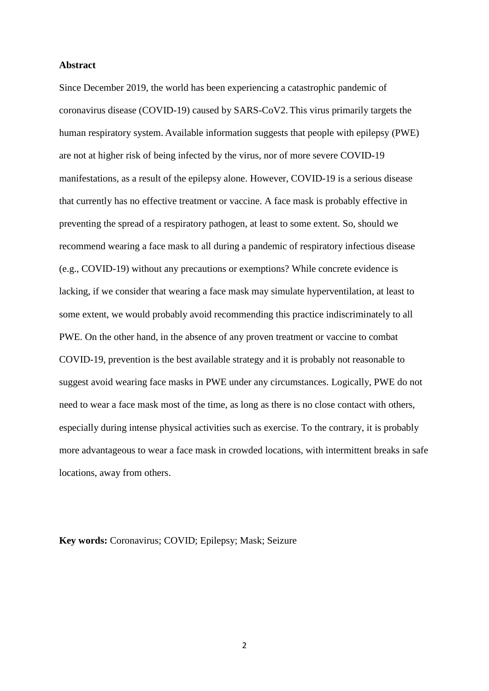#### **Abstract**

Since December 2019, the world has been experiencing a catastrophic pandemic of coronavirus disease (COVID-19) caused by SARS-CoV2. This virus primarily targets the human respiratory system. Available information suggests that people with epilepsy (PWE) are not at higher risk of being infected by the virus, nor of more severe COVID-19 manifestations, as a result of the epilepsy alone. However, COVID-19 is a serious disease that currently has no effective treatment or vaccine. A face mask is probably effective in preventing the spread of a respiratory pathogen, at least to some extent. So, should we recommend wearing a face mask to all during a pandemic of respiratory infectious disease (e.g., COVID-19) without any precautions or exemptions? While concrete evidence is lacking, if we consider that wearing a face mask may simulate hyperventilation, at least to some extent, we would probably avoid recommending this practice indiscriminately to all PWE. On the other hand, in the absence of any proven treatment or vaccine to combat COVID-19, prevention is the best available strategy and it is probably not reasonable to suggest avoid wearing face masks in PWE under any circumstances. Logically, PWE do not need to wear a face mask most of the time, as long as there is no close contact with others, especially during intense physical activities such as exercise. To the contrary, it is probably more advantageous to wear a face mask in crowded locations, with intermittent breaks in safe locations, away from others.

**Key words:** Coronavirus; COVID; Epilepsy; Mask; Seizure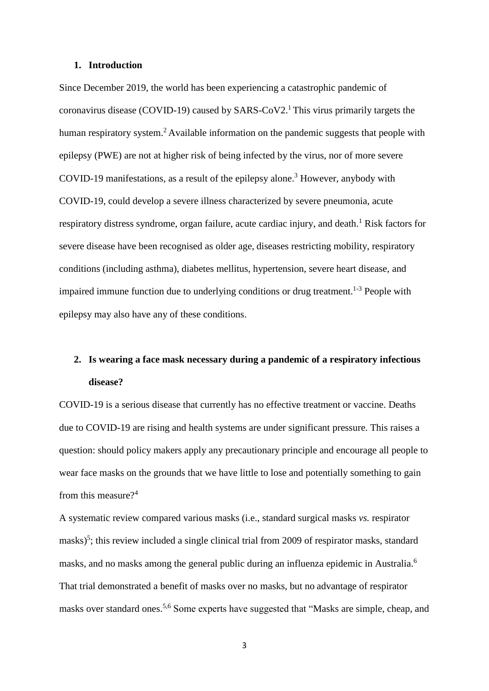#### **1. Introduction**

Since December 2019, the world has been experiencing a catastrophic pandemic of coronavirus disease (COVID-19) caused by  $SARS-CoV2$ .<sup>1</sup> This virus primarily targets the human respiratory system.<sup>2</sup> Available information on the pandemic suggests that people with epilepsy (PWE) are not at higher risk of being infected by the virus, nor of more severe COVID-19 manifestations, as a result of the epilepsy alone. <sup>3</sup> However, anybody with COVID-19, could develop a severe illness characterized by severe pneumonia, acute respiratory distress syndrome, organ failure, acute cardiac injury, and death.<sup>1</sup> Risk factors for severe disease have been recognised as older age, diseases restricting mobility, respiratory conditions (including asthma), diabetes mellitus, hypertension, severe heart disease, and impaired immune function due to underlying conditions or drug treatment.<sup>1-3</sup> People with epilepsy may also have any of these conditions.

# **2. Is wearing a face mask necessary during a pandemic of a respiratory infectious disease?**

COVID-19 is a serious disease that currently has no effective treatment or vaccine. Deaths due to COVID-19 are rising and health systems are under significant pressure. This raises a question: should policy makers apply any precautionary principle and encourage all people to wear face masks on the grounds that we have little to lose and potentially something to gain from this measure?<sup>4</sup>

A systematic review compared various masks (i.e., standard surgical masks *vs.* respirator masks)<sup>5</sup>; this review included a single clinical trial from 2009 of respirator masks, standard masks, and no masks among the general public during an influenza epidemic in Australia.<sup>6</sup> That trial demonstrated a benefit of masks over no masks, but no advantage of respirator masks over standard ones.<sup>5,6</sup> Some experts have suggested that "Masks are simple, cheap, and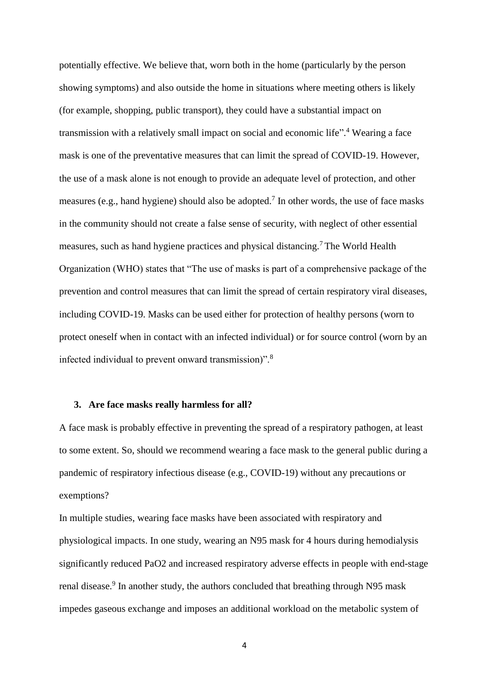potentially effective. We believe that, worn both in the home (particularly by the person showing symptoms) and also outside the home in situations where meeting others is likely (for example, shopping, public transport), they could have a substantial impact on transmission with a relatively small impact on social and economic life". <sup>4</sup> Wearing a face mask is one of the preventative measures that can limit the spread of COVID-19. However, the use of a mask alone is not enough to provide an adequate level of protection, and other measures (e.g., hand hygiene) should also be adopted.<sup>7</sup> In other words, the use of face masks in the community should not create a false sense of security, with neglect of other essential measures, such as hand hygiene practices and physical distancing.<sup>7</sup> The World Health Organization (WHO) states that "The use of masks is part of a comprehensive package of the prevention and control measures that can limit the spread of certain respiratory viral diseases, including COVID-19. Masks can be used either for protection of healthy persons (worn to protect oneself when in contact with an infected individual) or for source control (worn by an infected individual to prevent onward transmission)".<sup>8</sup>

#### **3. Are face masks really harmless for all?**

A face mask is probably effective in preventing the spread of a respiratory pathogen, at least to some extent. So, should we recommend wearing a face mask to the general public during a pandemic of respiratory infectious disease (e.g., COVID-19) without any precautions or exemptions?

In multiple studies, wearing face masks have been associated with respiratory and physiological impacts. In one study, wearing an N95 mask for 4 hours during hemodialysis significantly reduced PaO2 and increased respiratory adverse effects in people with end-stage renal disease.<sup>9</sup> In another study, the authors concluded that breathing through N95 mask impedes gaseous exchange and imposes an additional workload on the metabolic system of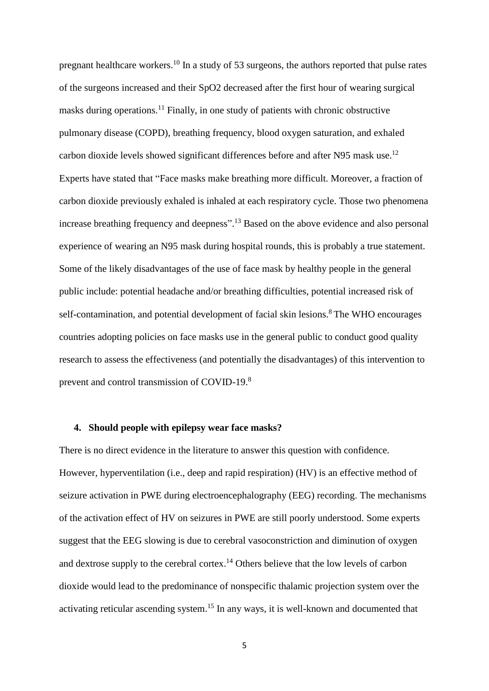pregnant healthcare workers.<sup>10</sup> In a study of 53 surgeons, the authors reported that pulse rates of the surgeons increased and their SpO2 decreased after the first hour of wearing surgical masks during operations.<sup>11</sup> Finally, in one study of patients with chronic obstructive pulmonary disease (COPD), breathing frequency, blood oxygen saturation, and exhaled carbon dioxide levels showed significant differences before and after N95 mask use.<sup>12</sup> Experts have stated that "Face masks make breathing more difficult. Moreover, a fraction of carbon dioxide previously exhaled is inhaled at each respiratory cycle. Those two phenomena increase breathing frequency and deepness".<sup>13</sup> Based on the above evidence and also personal experience of wearing an N95 mask during hospital rounds, this is probably a true statement. Some of the likely disadvantages of the use of face mask by healthy people in the general public include: potential headache and/or breathing difficulties, potential increased risk of self-contamination, and potential development of facial skin lesions.<sup>8</sup> The WHO encourages countries adopting policies on face masks use in the general public to conduct good quality research to assess the effectiveness (and potentially the disadvantages) of this intervention to prevent and control transmission of COVID-19.<sup>8</sup>

## **4. Should people with epilepsy wear face masks?**

There is no direct evidence in the literature to answer this question with confidence. However, hyperventilation (i.e., deep and rapid respiration) (HV) is an effective method of seizure activation in PWE during electroencephalography (EEG) recording. The mechanisms of the activation effect of HV on seizures in PWE are still poorly understood. Some experts suggest that the EEG slowing is due to cerebral vasoconstriction and diminution of oxygen and dextrose supply to the cerebral cortex.<sup>14</sup> Others believe that the low levels of carbon dioxide would lead to the predominance of nonspecific thalamic projection system over the activating reticular ascending system.<sup>15</sup> In any ways, it is well-known and documented that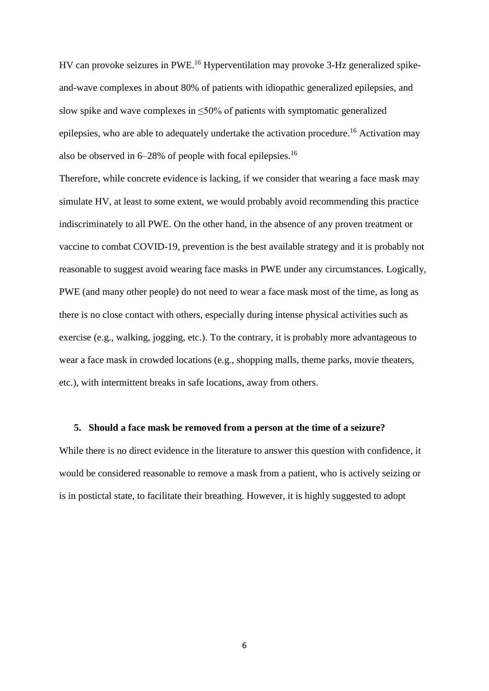HV can provoke seizures in PWE.<sup>16</sup> Hyperventilation may provoke 3-Hz generalized spikeand-wave complexes in about 80% of patients with idiopathic generalized epilepsies, and slow spike and wave complexes in  $\leq 50\%$  of patients with symptomatic generalized epilepsies, who are able to adequately undertake the activation procedure.<sup>16</sup> Activation may also be observed in  $6-28\%$  of people with focal epilepsies.<sup>16</sup>

Therefore, while concrete evidence is lacking, if we consider that wearing a face mask may simulate HV, at least to some extent, we would probably avoid recommending this practice indiscriminately to all PWE. On the other hand, in the absence of any proven treatment or vaccine to combat COVID-19, prevention is the best available strategy and it is probably not reasonable to suggest avoid wearing face masks in PWE under any circumstances. Logically, PWE (and many other people) do not need to wear a face mask most of the time, as long as there is no close contact with others, especially during intense physical activities such as exercise (e.g., walking, jogging, etc.). To the contrary, it is probably more advantageous to wear a face mask in crowded locations (e.g., shopping malls, theme parks, movie theaters, etc.), with intermittent breaks in safe locations, away from others.

#### **5. Should a face mask be removed from a person at the time of a seizure?**

While there is no direct evidence in the literature to answer this question with confidence, it would be considered reasonable to remove a mask from a patient, who is actively seizing or is in postictal state, to facilitate their breathing. However, it is highly suggested to adopt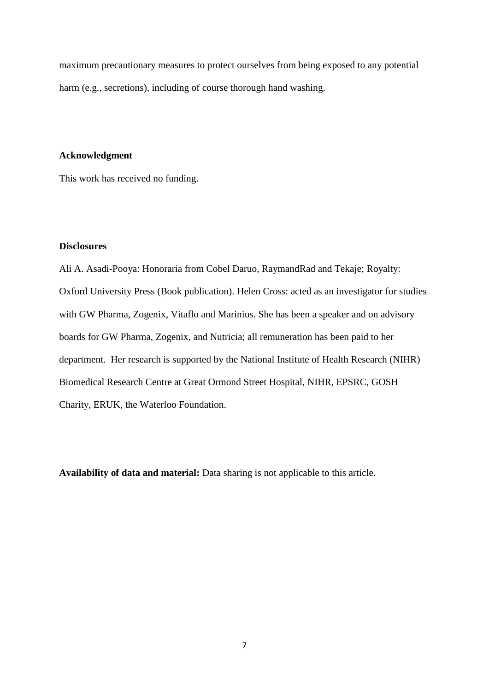maximum precautionary measures to protect ourselves from being exposed to any potential harm (e.g., secretions), including of course thorough hand washing.

#### **Acknowledgment**

This work has received no funding.

# **Disclosures**

Ali A. Asadi-Pooya: Honoraria from Cobel Daruo, RaymandRad and Tekaje; Royalty: Oxford University Press (Book publication). Helen Cross: acted as an investigator for studies with GW Pharma, Zogenix, Vitaflo and Marinius. She has been a speaker and on advisory boards for GW Pharma, Zogenix, and Nutricia; all remuneration has been paid to her department. Her research is supported by the National Institute of Health Research (NIHR) Biomedical Research Centre at Great Ormond Street Hospital, NIHR, EPSRC, GOSH Charity, ERUK, the Waterloo Foundation.

**Availability of data and material:** Data sharing is not applicable to this article.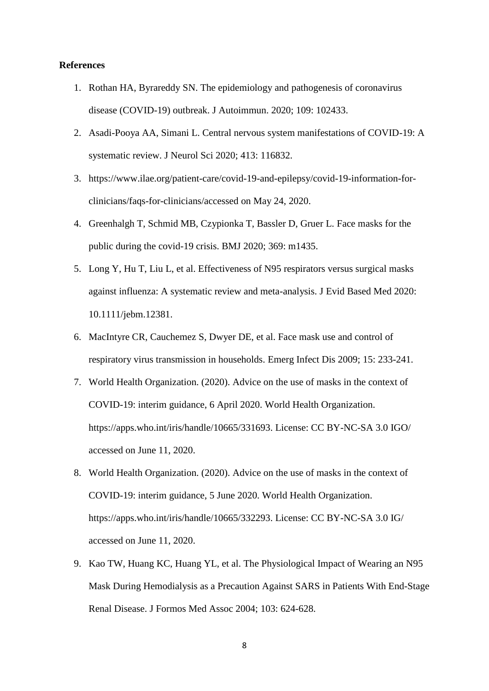#### **References**

- 1. Rothan HA, Byrareddy SN. The epidemiology and pathogenesis of coronavirus disease (COVID-19) outbreak. J Autoimmun. 2020; 109: 102433.
- 2. Asadi-Pooya AA, Simani L. Central nervous system manifestations of COVID-19: A systematic review. J Neurol Sci 2020; 413: 116832.
- 3. https://www.ilae.org/patient-care/covid-19-and-epilepsy/covid-19-information-forclinicians/faqs-for-clinicians/accessed on May 24, 2020.
- 4. Greenhalgh T, Schmid MB, Czypionka T, Bassler D, Gruer L. Face masks for the public during the covid-19 crisis. BMJ 2020; 369: m1435.
- 5. Long Y, Hu T, Liu L, et al. Effectiveness of N95 respirators versus surgical masks against influenza: A systematic review and meta-analysis. J Evid Based Med 2020: 10.1111/jebm.12381.
- 6. MacIntyre CR, Cauchemez S, Dwyer DE, et al. Face mask use and control of respiratory virus transmission in households. Emerg Infect Dis 2009; 15: 233-241.
- 7. World Health Organization. (2020). Advice on the use of masks in the context of COVID-19: interim guidance, 6 April 2020. World Health Organization. https://apps.who.int/iris/handle/10665/331693. License: CC BY-NC-SA 3.0 IGO/ accessed on June 11, 2020.
- 8. World Health Organization. (2020). Advice on the use of masks in the context of COVID-19: interim guidance, 5 June 2020. World Health Organization. https://apps.who.int/iris/handle/10665/332293. License: CC BY-NC-SA 3.0 IG/ accessed on June 11, 2020.
- 9. Kao TW, Huang KC, Huang YL, et al. The Physiological Impact of Wearing an N95 Mask During Hemodialysis as a Precaution Against SARS in Patients With End-Stage Renal Disease. J Formos Med Assoc 2004; 103: 624-628.